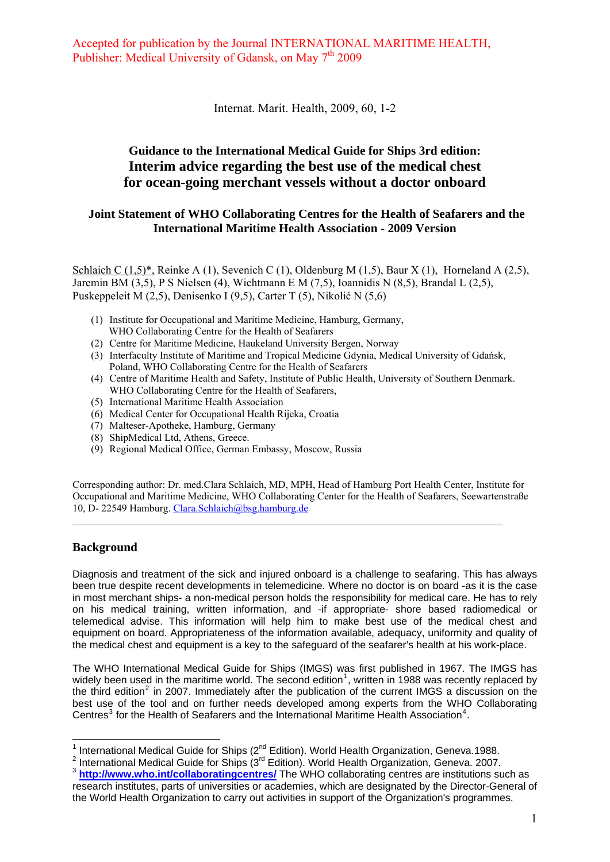Internat. Marit. Health, 2009, 60, 1-2

### **Guidance to the International Medical Guide for Ships 3rd edition: Interim advice regarding the best use of the medical chest for ocean-going merchant vessels without a doctor onboard**

#### **Joint Statement of WHO Collaborating Centres for the Health of Seafarers and the International Maritime Health Association - 2009 Version**

Schlaich C  $(1,5)^*$ , Reinke A  $(1)$ , Sevenich C  $(1)$ , Oldenburg M  $(1,5)$ , Baur X  $(1)$ , Horneland A  $(2,5)$ , Jaremin BM (3,5), P S Nielsen (4), Wichtmann E M (7,5), Ioannidis N (8,5), Brandal L (2,5), Puskeppeleit M (2,5), Denisenko I (9,5), Carter T (5), Nikolić N (5,6)

- (1) Institute for Occupational and Maritime Medicine, Hamburg, Germany, WHO Collaborating Centre for the Health of Seafarers
- (2) Centre for Maritime Medicine, Haukeland University Bergen, Norway
- (3) Interfaculty Institute of Maritime and Tropical Medicine Gdynia, Medical University of Gdańsk, Poland, WHO Collaborating Centre for the Health of Seafarers
- (4) Centre of Maritime Health and Safety, Institute of Public Health, University of Southern Denmark. WHO Collaborating Centre for the Health of Seafarers,
- (5) International Maritime Health Association
- (6) Medical Center for Occupational Health Rijeka, Croatia
- (7) Malteser-Apotheke, Hamburg, Germany
- (8) ShipMedical Ltd, Athens, Greece.
- (9) Regional Medical Office, German Embassy, Moscow, Russia

Corresponding author: Dr. med.Clara Schlaich, MD, MPH, Head of Hamburg Port Health Center, Institute for Occupational and Maritime Medicine, WHO Collaborating Center for the Health of Seafarers, Seewartenstraße 10, D- 22549 Hamburg. [Clara.Schlaich@bsg.hamburg.de](mailto:Clara.Schlaich@bsg.hamburg.de) 

#### **Background**

Diagnosis and treatment of the sick and injured onboard is a challenge to seafaring. This has always been true despite recent developments in telemedicine. Where no doctor is on board -as it is the case in most merchant ships- a non-medical person holds the responsibility for medical care. He has to rely on his medical training, written information, and -if appropriate- shore based radiomedical or telemedical advise. This information will help him to make best use of the medical chest and equipment on board. Appropriateness of the information available, adequacy, uniformity and quality of the medical chest and equipment is a key to the safeguard of the seafarer's health at his work-place.

The WHO International Medical Guide for Ships (IMGS) was first published in 1967. The IMGS has widely been used in the maritime world. The second edition<sup>[1](#page-0-0)</sup>, written in 1988 was recently replaced by the third edition<sup>[2](#page-0-1)</sup> in 2007. Immediately after the publication of the current IMGS a discussion on the best use of the tool and on further needs developed among experts from the WHO Collaborating Centres<sup>[3](#page-0-2)</sup> for the Health of Seafarers and the International Maritime Health Association<sup>[4](#page-0-3)</sup>.

<span id="page-0-3"></span> 1 International Medical Guide for Ships (2nd Edition). World Health Organization, Geneva.1988. 2

<span id="page-0-2"></span><span id="page-0-1"></span><span id="page-0-0"></span><sup>&</sup>lt;sup>2</sup> International Medical Guide for Ships (3<sup>rd</sup> Edition). World Health Organization, Geneva. 2007.<br><sup>3</sup> **<http://www.who.int/collaboratingcentres/>** The WHO collaborating centres are institutions such as research institutes, parts of universities or academies, which are designated by the Director-General of the World Health Organization to carry out activities in support of the Organization's programmes.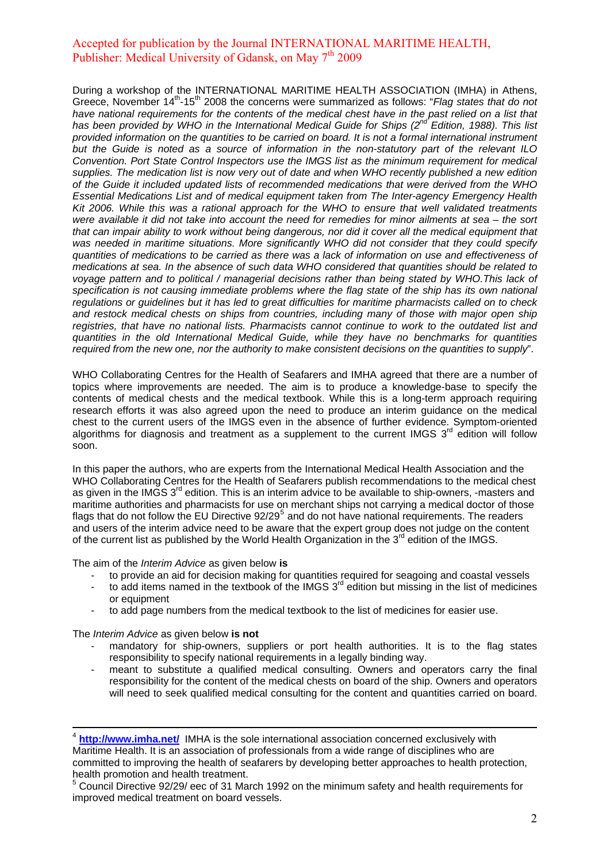During a workshop of the INTERNATIONAL MARITIME HEALTH ASSOCIATION (IMHA) in Athens, Greece, November 14<sup>th</sup>-15<sup>th</sup> 2008 the concerns were summarized as follows: "*Flag states that do not* have national requirements for the contents of the medical chest have in the past relied on a list that has been provided by WHO in the International Medical Guide for Ships (2<sup>nd'</sup> Edition, 1988). This list *provided information on the quantities to be carried on board. It is not a formal international instrument but the Guide is noted as a source of information in the non-statutory part of the relevant ILO Convention. Port State Control Inspectors use the IMGS list as the minimum requirement for medical supplies. The medication list is now very out of date and when WHO recently published a new edition of the Guide it included updated lists of recommended medications that were derived from the WHO Essential Medications List and of medical equipment taken from The Inter-agency Emergency Health Kit 2006. While this was a rational approach for the WHO to ensure that well validated treatments were available it did not take into account the need for remedies for minor ailments at sea – the sort*  that can impair ability to work without being dangerous, nor did it cover all the medical equipment that was needed in maritime situations. More significantly WHO did not consider that they could specify *quantities of medications to be carried as there was a lack of information on use and effectiveness of medications at sea. In the absence of such data WHO considered that quantities should be related to voyage pattern and to political / managerial decisions rather than being stated by WHO.This lack of*  specification is not causing immediate problems where the flag state of the ship has its own national *regulations or guidelines but it has led to great difficulties for maritime pharmacists called on to check and restock medical chests on ships from countries, including many of those with major open ship registries, that have no national lists. Pharmacists cannot continue to work to the outdated list and quantities in the old International Medical Guide, while they have no benchmarks for quantities required from the new one, nor the authority to make consistent decisions on the quantities to supply*".

WHO Collaborating Centres for the Health of Seafarers and IMHA agreed that there are a number of topics where improvements are needed. The aim is to produce a knowledge-base to specify the contents of medical chests and the medical textbook. While this is a long-term approach requiring research efforts it was also agreed upon the need to produce an interim guidance on the medical chest to the current users of the IMGS even in the absence of further evidence. Symptom-oriented algorithms for diagnosis and treatment as a supplement to the current IMGS  $3<sup>rd</sup>$  edition will follow soon.

In this paper the authors, who are experts from the International Medical Health Association and the WHO Collaborating Centres for the Health of Seafarers publish recommendations to the medical chest as given in the IMGS 3<sup>rd</sup> edition. This is an interim advice to be available to ship-owners, -masters and maritime authorities and pharmacists for use on merchant ships not carrying a medical doctor of those flags that do not follow the EU Directive  $92/29^5$  $92/29^5$  and do not have national requirements. The readers and users of the interim advice need to be aware that the expert group does not judge on the content of the current list as published by the World Health Organization in the 3<sup>rd</sup> edition of the IMGS.

The aim of the *Interim Advice* as given below **is**

- to provide an aid for decision making for quantities required for seagoing and coastal vessels
- to add items named in the textbook of the IMGS  $3<sup>rd</sup>$  edition but missing in the list of medicines or equipment
- to add page numbers from the medical textbook to the list of medicines for easier use.

The *Interim Advice* as given below **is not**

- mandatory for ship-owners, suppliers or port health authorities. It is to the flag states responsibility to specify national requirements in a legally binding way.
- meant to substitute a qualified medical consulting. Owners and operators carry the final responsibility for the content of the medical chests on board of the ship. Owners and operators will need to seek qualified medical consulting for the content and quantities carried on board.

<span id="page-1-0"></span><sup>5</sup> Council Directive 92/29/ eec of 31 March 1992 on the minimum safety and health requirements for improved medical treatment on board vessels.

<sup>4</sup> **<http://www.imha.net/>** IMHA is the sole international association concerned exclusively with Maritime Health. It is an association of professionals from a wide range of disciplines who are committed to improving the health of seafarers by developing better approaches to health protection, health promotion and health treatment.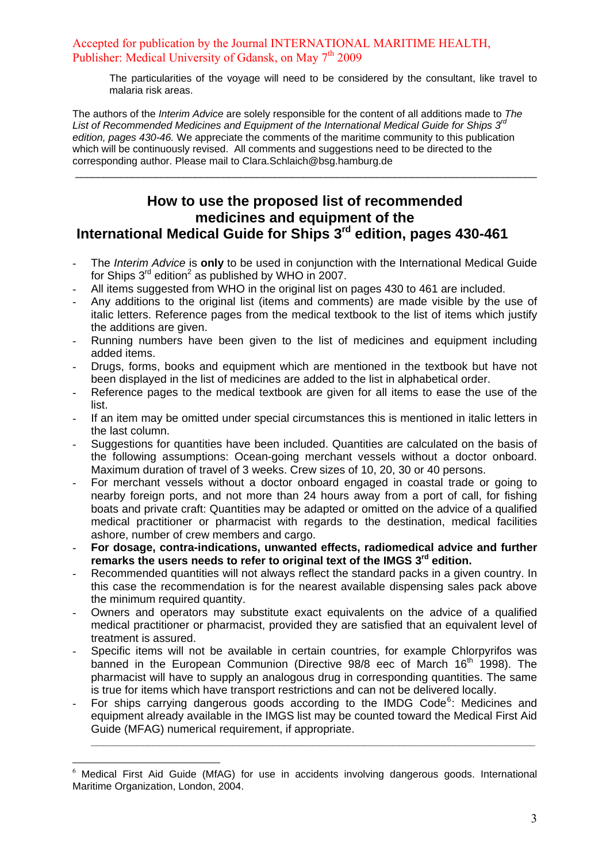The particularities of the voyage will need to be considered by the consultant, like travel to malaria risk areas.

The authors of the *Interim Advice* are solely responsible for the content of all additions made to *The List of Recommended Medicines and Equipment of the International Medical Guide for Ships 3rd edition, pages 430-46.* We appreciate the comments of the maritime community to this publication which will be continuously revised. All comments and suggestions need to be directed to the corresponding author. Please mail to Clara.Schlaich@bsg.hamburg.de

## **How to use the proposed list of recommended medicines and equipment of the International Medical Guide for Ships 3rd edition, pages 430-461**

\_\_\_\_\_\_\_\_\_\_\_\_\_\_\_\_\_\_\_\_\_\_\_\_\_\_\_\_\_\_\_\_\_\_\_\_\_\_\_\_\_\_\_\_\_\_\_\_\_\_\_\_\_\_\_\_\_\_\_\_\_\_\_\_\_\_\_\_\_\_\_\_\_\_\_\_\_\_\_\_\_

- The *Interim Advice* is **only** to be used in conjunction with the International Medical Guide for Ships  $3<sup>rd</sup>$  edition<sup>2</sup> as published by WHO in 2007.
- All items suggested from WHO in the original list on pages 430 to 461 are included.
- Any additions to the original list (items and comments) are made visible by the use of italic letters. Reference pages from the medical textbook to the list of items which justify the additions are given.
- Running numbers have been given to the list of medicines and equipment including added items.
- Drugs, forms, books and equipment which are mentioned in the textbook but have not been displayed in the list of medicines are added to the list in alphabetical order.
- Reference pages to the medical textbook are given for all items to ease the use of the list.
- If an item may be omitted under special circumstances this is mentioned in italic letters in the last column.
- Suggestions for quantities have been included. Quantities are calculated on the basis of the following assumptions: Ocean-going merchant vessels without a doctor onboard. Maximum duration of travel of 3 weeks. Crew sizes of 10, 20, 30 or 40 persons.
- For merchant vessels without a doctor onboard engaged in coastal trade or going to nearby foreign ports, and not more than 24 hours away from a port of call, for fishing boats and private craft: Quantities may be adapted or omitted on the advice of a qualified medical practitioner or pharmacist with regards to the destination, medical facilities ashore, number of crew members and cargo.
- **For dosage, contra-indications, unwanted effects, radiomedical advice and further remarks the users needs to refer to original text of the IMGS 3rd edition.**
- Recommended quantities will not always reflect the standard packs in a given country. In this case the recommendation is for the nearest available dispensing sales pack above the minimum required quantity.
- Owners and operators may substitute exact equivalents on the advice of a qualified medical practitioner or pharmacist, provided they are satisfied that an equivalent level of treatment is assured.
- Specific items will not be available in certain countries, for example Chlorpyrifos was banned in the European Communion (Directive 98/8 eec of March 16<sup>th</sup> 1998). The pharmacist will have to supply an analogous drug in corresponding quantities. The same is true for items which have transport restrictions and can not be delivered locally.
- For ships carrying dangerous goods according to the IMDG Code<sup>[6](#page-2-0)</sup>: Medicines and equipment already available in the IMGS list may be counted toward the Medical First Aid Guide (MFAG) numerical requirement, if appropriate.

**\_\_\_\_\_\_\_\_\_\_\_\_\_\_\_\_\_\_\_\_\_\_\_\_\_\_\_\_\_\_\_\_\_\_\_\_\_\_\_\_\_\_\_\_\_\_\_\_\_\_\_\_\_\_\_\_\_\_\_\_\_\_\_\_\_\_\_\_\_\_\_\_\_\_\_\_\_\_** 

<u>.</u>

<span id="page-2-0"></span>Medical First Aid Guide (MfAG) for use in accidents involving dangerous goods. International Maritime Organization, London, 2004.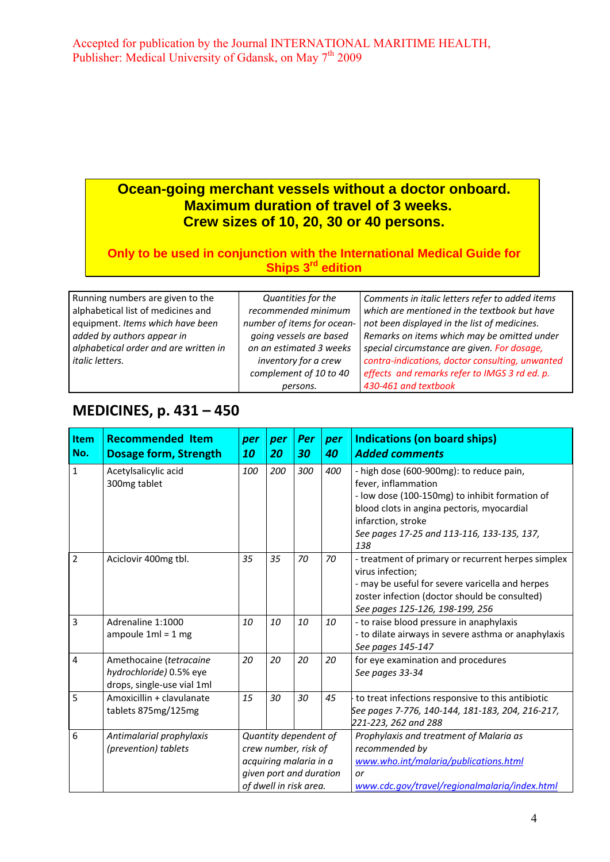# **Ocean-going merchant vessels without a doctor onboard. Maximum duration of travel of 3 weeks. Crew sizes of 10, 20, 30 or 40 persons.**

### **Only to be used in conjunction with the International Medical Guide for Ships 3<sup>rd</sup> edition**

| Running numbers are given to the      | Quantities for the         | Comments in italic letters refer to added items |
|---------------------------------------|----------------------------|-------------------------------------------------|
| alphabetical list of medicines and    | recommended minimum        | which are mentioned in the textbook but have    |
| equipment. Items which have been      | number of items for ocean- | not been displayed in the list of medicines.    |
| added by authors appear in            | going vessels are based    | Remarks on items which may be omitted under     |
| alphabetical order and are written in | on an estimated 3 weeks    | special circumstance are given. For dosage,     |
| <i>italic letters.</i>                | inventory for a crew       | contra-indications, doctor consulting, unwanted |
|                                       | complement of 10 to 40     | effects and remarks refer to IMGS 3 rd ed. p.   |
|                                       | persons.                   | 430-461 and textbook                            |

# **MEDICINES, p. 431 – 450**

| Item<br>No.    | <b>Recommended Item</b><br><b>Dosage form, Strength</b>                          | per<br>10 | per<br>20                                                                                                                    | Per<br>30 | per<br>40 | <b>Indications (on board ships)</b><br><b>Added comments</b>                                                                                                                                                                               |
|----------------|----------------------------------------------------------------------------------|-----------|------------------------------------------------------------------------------------------------------------------------------|-----------|-----------|--------------------------------------------------------------------------------------------------------------------------------------------------------------------------------------------------------------------------------------------|
| $\mathbf{1}$   | Acetylsalicylic acid<br>300mg tablet                                             | 100       | 200                                                                                                                          | 300       | 400       | - high dose (600-900mg): to reduce pain,<br>fever, inflammation<br>- low dose (100-150mg) to inhibit formation of<br>blood clots in angina pectoris, myocardial<br>infarction, stroke<br>See pages 17-25 and 113-116, 133-135, 137,<br>138 |
| $\overline{2}$ | Aciclovir 400mg tbl.                                                             | 35        | 35                                                                                                                           | 70        | 70        | - treatment of primary or recurrent herpes simplex<br>virus infection;<br>- may be useful for severe varicella and herpes<br>zoster infection (doctor should be consulted)<br>See pages 125-126, 198-199, 256                              |
| 3              | Adrenaline 1:1000<br>ampoule $1ml = 1 mg$                                        | 10        | 10                                                                                                                           | 10        | 10        | - to raise blood pressure in anaphylaxis<br>- to dilate airways in severe asthma or anaphylaxis<br>See pages 145-147                                                                                                                       |
| 4              | Amethocaine (tetracaine<br>hydrochloride) 0.5% eye<br>drops, single-use vial 1ml | 20        | 20                                                                                                                           | 20        | 20        | for eye examination and procedures<br>See pages 33-34                                                                                                                                                                                      |
| 5              | Amoxicillin + clavulanate<br>tablets 875mg/125mg                                 | 15        | 30                                                                                                                           | 30        | 45        | to treat infections responsive to this antibiotic<br>See pages 7-776, 140-144, 181-183, 204, 216-217,<br>221-223, 262 and 288                                                                                                              |
| 6              | Antimalarial prophylaxis<br>(prevention) tablets                                 |           | Quantity dependent of<br>crew number, risk of<br>acquiring malaria in a<br>given port and duration<br>of dwell in risk area. |           |           | Prophylaxis and treatment of Malaria as<br>recommended by<br>www.who.int/malaria/publications.html<br>or<br>www.cdc.gov/travel/regionalmalaria/index.html                                                                                  |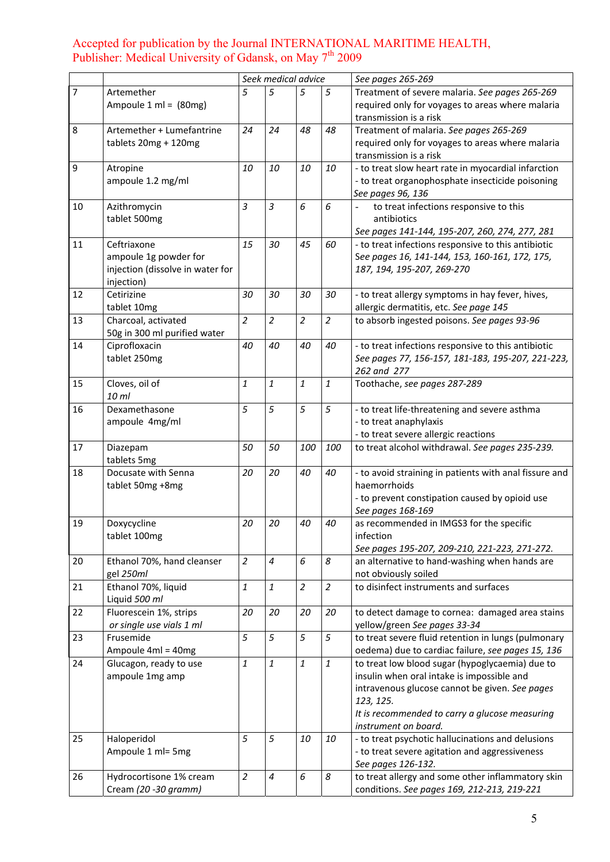|                |                                                        |                | Seek medical advice     |                |                  | See pages 265-269                                                                                                            |
|----------------|--------------------------------------------------------|----------------|-------------------------|----------------|------------------|------------------------------------------------------------------------------------------------------------------------------|
| $\overline{7}$ | Artemether<br>Ampoule $1 \text{ ml} = (80 \text{ mg})$ | 5              | 5                       | 5              | 5                | Treatment of severe malaria. See pages 265-269<br>required only for voyages to areas where malaria<br>transmission is a risk |
| 8              | Artemether + Lumefantrine                              | 24             | 24                      | 48             | 48               | Treatment of malaria. See pages 265-269                                                                                      |
|                | tablets $20mg + 120mg$                                 |                |                         |                |                  | required only for voyages to areas where malaria                                                                             |
|                |                                                        |                |                         |                |                  | transmission is a risk                                                                                                       |
| 9              | Atropine                                               | 10             | 10                      | 10             | 10               | - to treat slow heart rate in myocardial infarction                                                                          |
|                | ampoule 1.2 mg/ml                                      |                |                         |                |                  | - to treat organophosphate insecticide poisoning                                                                             |
|                |                                                        |                |                         |                |                  | See pages 96, 136                                                                                                            |
| 10             | Azithromycin                                           | 3              | 3                       | 6              | 6                | to treat infections responsive to this                                                                                       |
|                | tablet 500mg                                           |                |                         |                |                  | antibiotics                                                                                                                  |
|                |                                                        |                |                         |                |                  | See pages 141-144, 195-207, 260, 274, 277, 281                                                                               |
| 11             | Ceftriaxone                                            | 15             | 30                      | 45             | 60               | - to treat infections responsive to this antibiotic                                                                          |
|                | ampoule 1g powder for                                  |                |                         |                |                  | See pages 16, 141-144, 153, 160-161, 172, 175,                                                                               |
|                | injection (dissolve in water for                       |                |                         |                |                  | 187, 194, 195-207, 269-270                                                                                                   |
| 12             | injection)<br>Cetirizine                               | 30             | 30                      | 30             | 30               | - to treat allergy symptoms in hay fever, hives,                                                                             |
|                | tablet 10mg                                            |                |                         |                |                  | allergic dermatitis, etc. See page 145                                                                                       |
| 13             | Charcoal, activated                                    | $\overline{a}$ | $\overline{a}$          | $\overline{a}$ | $\overline{a}$   | to absorb ingested poisons. See pages 93-96                                                                                  |
|                | 50g in 300 ml purified water                           |                |                         |                |                  |                                                                                                                              |
| 14             | Ciprofloxacin                                          | 40             | 40                      | 40             | 40               | - to treat infections responsive to this antibiotic                                                                          |
|                | tablet 250mg                                           |                |                         |                |                  | See pages 77, 156-157, 181-183, 195-207, 221-223,                                                                            |
|                |                                                        |                |                         |                |                  | 262 and 277                                                                                                                  |
| 15             | Cloves, oil of<br>10 ml                                | 1              | 1                       | $\mathbf{1}$   | 1                | Toothache, see pages 287-289                                                                                                 |
| 16             | Dexamethasone                                          | 5              | 5                       | 5              | 5                | - to treat life-threatening and severe asthma                                                                                |
|                | ampoule 4mg/ml                                         |                |                         |                |                  | - to treat anaphylaxis                                                                                                       |
|                |                                                        |                |                         |                |                  | - to treat severe allergic reactions                                                                                         |
| 17             | Diazepam<br>tablets 5mg                                | 50             | 50                      | 100            | 100              | to treat alcohol withdrawal. See pages 235-239.                                                                              |
| 18             | Docusate with Senna                                    | 20             | 20                      | 40             | 40               | - to avoid straining in patients with anal fissure and                                                                       |
|                | tablet 50mg +8mg                                       |                |                         |                |                  | haemorrhoids                                                                                                                 |
|                |                                                        |                |                         |                |                  | - to prevent constipation caused by opioid use                                                                               |
|                |                                                        |                |                         |                |                  | See pages 168-169                                                                                                            |
| 19             | Doxycycline                                            | 20             | 20                      | 40             | 40               | as recommended in IMGS3 for the specific                                                                                     |
|                | tablet 100mg                                           |                |                         |                |                  | infection<br>See pages 195-207, 209-210, 221-223, 271-272.                                                                   |
| 20             | Ethanol 70%, hand cleanser                             | $\overline{a}$ | $\boldsymbol{4}$        | 6              | 8                | an alternative to hand-washing when hands are                                                                                |
|                | gel 250ml                                              |                |                         |                |                  | not obviously soiled                                                                                                         |
| 21             | Ethanol 70%, liquid                                    | $\mathbf{1}$   | $\overline{\mathbf{1}}$ | $\overline{2}$ | $\overline{a}$   | to disinfect instruments and surfaces                                                                                        |
|                | Liquid 500 ml                                          |                |                         |                |                  |                                                                                                                              |
| 22             | Fluorescein 1%, strips                                 | 20             | 20                      | 20             | 20               | to detect damage to cornea: damaged area stains                                                                              |
|                | or single use vials 1 ml                               |                |                         |                |                  | yellow/green See pages 33-34                                                                                                 |
| 23             | Frusemide                                              | 5              | 5                       | 5              | 5                | to treat severe fluid retention in lungs (pulmonary                                                                          |
|                | Ampoule 4ml = 40mg                                     |                |                         |                |                  | oedema) due to cardiac failure, see pages 15, 136                                                                            |
| 24             | Glucagon, ready to use<br>ampoule 1mg amp              | 1              | $\mathbf{1}$            | $\it 1$        | $\boldsymbol{1}$ | to treat low blood sugar (hypoglycaemia) due to<br>insulin when oral intake is impossible and                                |
|                |                                                        |                |                         |                |                  | intravenous glucose cannot be given. See pages                                                                               |
|                |                                                        |                |                         |                |                  | 123, 125.                                                                                                                    |
|                |                                                        |                |                         |                |                  | It is recommended to carry a glucose measuring                                                                               |
|                |                                                        |                |                         |                |                  | instrument on board.                                                                                                         |
| 25             | Haloperidol                                            | 5              | 5                       | 10             | 10               | - to treat psychotic hallucinations and delusions                                                                            |
|                | Ampoule 1 ml= 5mg                                      |                |                         |                |                  | - to treat severe agitation and aggressiveness                                                                               |
|                |                                                        |                |                         |                |                  | See pages 126-132.                                                                                                           |
| 26             | Hydrocortisone 1% cream                                | $\overline{a}$ | 4                       | 6              | 8                | to treat allergy and some other inflammatory skin                                                                            |
|                | Cream (20 -30 gramm)                                   |                |                         |                |                  | conditions. See pages 169, 212-213, 219-221                                                                                  |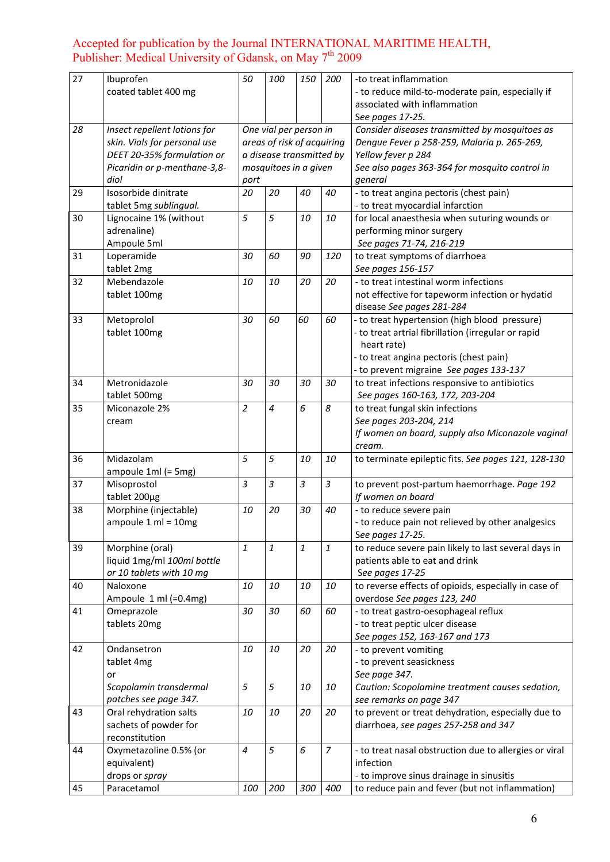| 27 | Ibuprofen                    | 50             | 100                        | 150            | 200            | -to treat inflammation                                 |
|----|------------------------------|----------------|----------------------------|----------------|----------------|--------------------------------------------------------|
|    | coated tablet 400 mg         |                |                            |                |                | - to reduce mild-to-moderate pain, especially if       |
|    |                              |                |                            |                |                | associated with inflammation                           |
|    |                              |                |                            |                |                | See pages 17-25.                                       |
| 28 | Insect repellent lotions for |                | One vial per person in     |                |                | Consider diseases transmitted by mosquitoes as         |
|    | skin. Vials for personal use |                | areas of risk of acquiring |                |                | Dengue Fever p 258-259, Malaria p. 265-269,            |
|    | DEET 20-35% formulation or   |                | a disease transmitted by   |                |                | Yellow fever p 284                                     |
|    | Picaridin or p-menthane-3,8- |                | mosquitoes in a given      |                |                | See also pages 363-364 for mosquito control in         |
|    | diol                         | port           |                            |                |                | general                                                |
| 29 | Isosorbide dinitrate         | 20             | 20                         | 40             | 40             | - to treat angina pectoris (chest pain)                |
|    | tablet 5mg sublingual.       |                |                            |                |                | - to treat myocardial infarction                       |
| 30 | Lignocaine 1% (without       | 5              | 5                          | 10             | 10             | for local anaesthesia when suturing wounds or          |
|    | adrenaline)                  |                |                            |                |                | performing minor surgery                               |
|    | Ampoule 5ml                  |                |                            |                |                | See pages 71-74, 216-219                               |
| 31 | Loperamide                   | 30             | 60                         | 90             | 120            | to treat symptoms of diarrhoea                         |
|    | tablet 2mg                   |                |                            |                |                | See pages 156-157                                      |
| 32 | Mebendazole                  | 10             | 10                         | 20             | 20             | - to treat intestinal worm infections                  |
|    | tablet 100mg                 |                |                            |                |                | not effective for tapeworm infection or hydatid        |
|    |                              |                |                            |                |                | disease See pages 281-284                              |
| 33 | Metoprolol                   | 30             | 60                         | 60             | 60             | - to treat hypertension (high blood pressure)          |
|    | tablet 100mg                 |                |                            |                |                | - to treat artrial fibrillation (irregular or rapid    |
|    |                              |                |                            |                |                | heart rate)                                            |
|    |                              |                |                            |                |                | - to treat angina pectoris (chest pain)                |
|    |                              |                |                            |                |                | - to prevent migraine See pages 133-137                |
| 34 | Metronidazole                | 30             | 30                         | 30             | 30             | to treat infections responsive to antibiotics          |
|    | tablet 500mg                 |                |                            |                |                | See pages 160-163, 172, 203-204                        |
| 35 | Miconazole 2%                | $\overline{a}$ | 4                          | 6              | 8              | to treat fungal skin infections                        |
|    | cream                        |                |                            |                |                | See pages 203-204, 214                                 |
|    |                              |                |                            |                |                | If women on board, supply also Miconazole vaginal      |
|    |                              |                |                            |                |                | cream.                                                 |
| 36 | Midazolam                    | 5              | 5                          | 10             | 10             | to terminate epileptic fits. See pages 121, 128-130    |
|    | ampoule 1ml (= 5mg)          |                |                            |                |                |                                                        |
| 37 | Misoprostol                  | 3              | 3                          | $\overline{3}$ | $\mathfrak{Z}$ | to prevent post-partum haemorrhage. Page 192           |
|    | tablet 200µg                 |                |                            |                |                | If women on board                                      |
| 38 | Morphine (injectable)        | 10             | 20                         | 30             | 40             | - to reduce severe pain                                |
|    | ampoule $1$ ml = $10$ mg     |                |                            |                |                | - to reduce pain not relieved by other analgesics      |
|    |                              |                |                            |                |                | See pages 17-25.                                       |
| 39 | Morphine (oral)              | 1              | 1                          | $\mathbf{1}$   | $\mathbf{1}$   | to reduce severe pain likely to last several days in   |
|    | liquid 1mg/ml 100ml bottle   |                |                            |                |                | patients able to eat and drink                         |
|    | or 10 tablets with 10 mg     |                |                            |                |                | See pages 17-25                                        |
| 40 | Naloxone                     | 10             | 10                         | 10             | 10             | to reverse effects of opioids, especially in case of   |
|    | Ampoule 1 ml (=0.4mg)        |                |                            |                |                | overdose See pages 123, 240                            |
| 41 | Omeprazole                   | 30             | 30                         | 60             | 60             | - to treat gastro-oesophageal reflux                   |
|    | tablets 20mg                 |                |                            |                |                | - to treat peptic ulcer disease                        |
|    |                              |                |                            |                |                | See pages 152, 163-167 and 173                         |
| 42 | Ondansetron                  | 10             | 10                         | 20             | 20             | - to prevent vomiting                                  |
|    | tablet 4mg                   |                |                            |                |                | - to prevent seasickness                               |
|    | or                           |                |                            |                |                | See page 347.                                          |
|    | Scopolamin transdermal       | 5              | 5                          | 10             | 10             | Caution: Scopolamine treatment causes sedation,        |
|    | patches see page 347.        |                |                            |                |                | see remarks on page 347                                |
| 43 | Oral rehydration salts       | 10             | 10                         | 20             | 20             | to prevent or treat dehydration, especially due to     |
|    | sachets of powder for        |                |                            |                |                | diarrhoea, see pages 257-258 and 347                   |
|    | reconstitution               |                |                            |                |                |                                                        |
| 44 | Oxymetazoline 0.5% (or       | 4              | 5                          | 6              | $\overline{z}$ | - to treat nasal obstruction due to allergies or viral |
|    | equivalent)                  |                |                            |                |                | infection                                              |
|    | drops or spray               |                |                            |                |                | - to improve sinus drainage in sinusitis               |
| 45 | Paracetamol                  | 100            | 200                        | 300            | 400            | to reduce pain and fever (but not inflammation)        |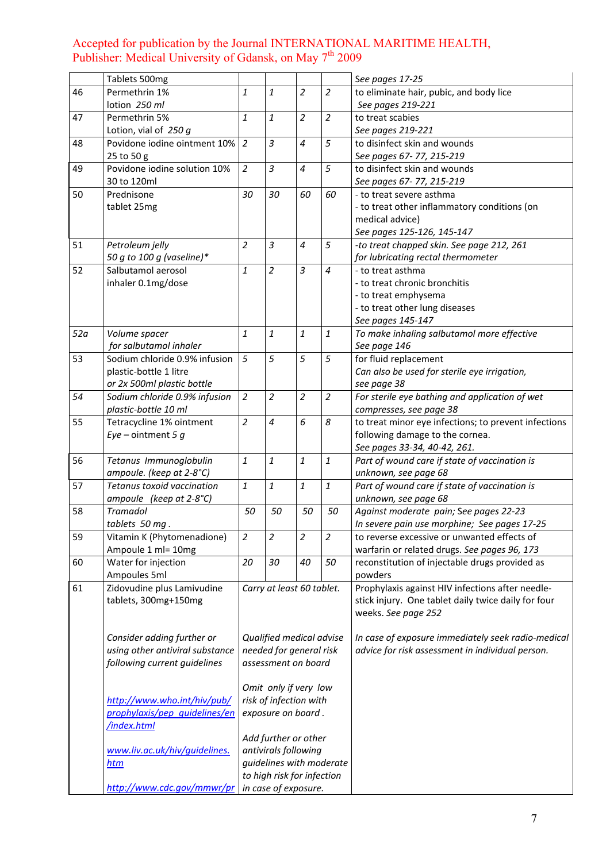|     | Tablets 500mg                   |                |                                                |                |                | See pages 17-25                                      |
|-----|---------------------------------|----------------|------------------------------------------------|----------------|----------------|------------------------------------------------------|
| 46  | Permethrin 1%                   | $\mathbf{1}$   | 1                                              | $\overline{2}$ | $\overline{2}$ | to eliminate hair, pubic, and body lice              |
|     | lotion 250 ml                   |                |                                                |                |                | See pages 219-221                                    |
| 47  | Permethrin 5%                   | $\mathbf{1}$   | 1                                              | $\overline{2}$ | $\overline{2}$ | to treat scabies                                     |
|     | Lotion, vial of $250 g$         |                |                                                |                |                | See pages 219-221                                    |
| 48  | Povidone iodine ointment 10%    | $\overline{2}$ | 3                                              | $\overline{4}$ | 5              | to disinfect skin and wounds                         |
|     | 25 to 50 g                      |                |                                                |                |                | See pages 67- 77, 215-219                            |
| 49  | Povidone iodine solution 10%    | $\overline{2}$ | 3                                              | $\overline{4}$ | 5              | to disinfect skin and wounds                         |
|     | 30 to 120ml                     |                |                                                |                |                | See pages 67-77, 215-219                             |
| 50  | Prednisone                      | 30             | 30                                             | 60             | 60             | - to treat severe asthma                             |
|     | tablet 25mg                     |                |                                                |                |                | - to treat other inflammatory conditions (on         |
|     |                                 |                |                                                |                |                | medical advice)                                      |
|     |                                 |                |                                                |                |                | See pages 125-126, 145-147                           |
| 51  | Petroleum jelly                 | 2              | 3                                              | $\overline{4}$ | 5              | -to treat chapped skin. See page 212, 261            |
|     | 50 g to 100 g (vaseline)*       |                |                                                |                |                | for lubricating rectal thermometer                   |
| 52  | Salbutamol aerosol              | 1              | 2                                              | $\overline{3}$ | $\overline{4}$ | - to treat asthma                                    |
|     | inhaler 0.1mg/dose              |                |                                                |                |                | - to treat chronic bronchitis                        |
|     |                                 |                |                                                |                |                | - to treat emphysema                                 |
|     |                                 |                |                                                |                |                | - to treat other lung diseases                       |
|     |                                 |                |                                                |                |                | See pages 145-147                                    |
| 52a | Volume spacer                   | $\mathbf{1}$   | $\mathbf{1}$                                   | $\mathbf{1}$   | $\it 1$        | To make inhaling salbutamol more effective           |
|     | for salbutamol inhaler          |                |                                                |                |                | See page 146                                         |
| 53  | Sodium chloride 0.9% infusion   | 5              | 5                                              | 5              | 5              | for fluid replacement                                |
|     | plastic-bottle 1 litre          |                |                                                |                |                | Can also be used for sterile eye irrigation,         |
|     | or 2x 500ml plastic bottle      |                |                                                |                |                | see page 38                                          |
| 54  | Sodium chloride 0.9% infusion   | $\overline{c}$ | $\overline{c}$                                 | $\overline{a}$ | $\overline{2}$ | For sterile eye bathing and application of wet       |
|     | plastic-bottle 10 ml            |                |                                                |                |                | compresses, see page 38                              |
| 55  | Tetracycline 1% ointment        | $\overline{a}$ | 4                                              | 6              | 8              | to treat minor eye infections; to prevent infections |
|     | $Eye$ – ointment 5 g            |                |                                                |                |                | following damage to the cornea.                      |
|     |                                 |                |                                                |                |                | See pages 33-34, 40-42, 261.                         |
| 56  | Tetanus Immunoglobulin          | $\mathbf{1}$   | $\mathbf{1}$                                   | $\mathbf{1}$   | $\it 1$        | Part of wound care if state of vaccination is        |
|     | ampoule. (keep at 2-8°C)        |                |                                                |                |                | unknown, see page 68                                 |
| 57  | Tetanus toxoid vaccination      | $\mathbf{1}$   | 1                                              | $\it 1$        | $\it 1$        | Part of wound care if state of vaccination is        |
|     | ampoule (keep at 2-8°C)         |                |                                                |                |                | unknown, see page 68                                 |
| 58  | <b>Tramadol</b>                 | 50             | 50                                             | 50             | 50             | Against moderate pain; See pages 22-23               |
|     | tablets 50 mg.                  |                |                                                |                |                | In severe pain use morphine; See pages 17-25         |
| 59  | Vitamin K (Phytomenadione)      | $\overline{c}$ | $\overline{\mathbf{c}}$                        | $\overline{a}$ | $\overline{2}$ | to reverse excessive or unwanted effects of          |
|     | Ampoule 1 ml= 10mg              |                |                                                |                |                | warfarin or related drugs. See pages 96, 173         |
| 60  | Water for injection             | 20             | 30                                             | 40             | 50             | reconstitution of injectable drugs provided as       |
|     | Ampoules 5ml                    |                |                                                |                |                | powders                                              |
| 61  | Zidovudine plus Lamivudine      |                | Carry at least 60 tablet.                      |                |                | Prophylaxis against HIV infections after needle-     |
|     | tablets, 300mg+150mg            |                |                                                |                |                | stick injury. One tablet daily twice daily for four  |
|     |                                 |                |                                                |                |                | weeks. See page 252                                  |
|     |                                 |                |                                                |                |                |                                                      |
|     | Consider adding further or      |                | Qualified medical advise                       |                |                | In case of exposure immediately seek radio-medical   |
|     | using other antiviral substance |                | needed for general risk<br>assessment on board |                |                | advice for risk assessment in individual person.     |
|     | following current guidelines    |                |                                                |                |                |                                                      |
|     |                                 |                | Omit only if very low                          |                |                |                                                      |
|     | http://www.who.int/hiv/pub/     |                | risk of infection with                         |                |                |                                                      |
|     | prophylaxis/pep quidelines/en   |                | exposure on board.                             |                |                |                                                      |
|     | /index.html                     |                |                                                |                |                |                                                      |
|     |                                 |                | Add further or other                           |                |                |                                                      |
|     | www.liv.ac.uk/hiv/guidelines.   |                | antivirals following                           |                |                |                                                      |
|     | <u>htm</u>                      |                | guidelines with moderate                       |                |                |                                                      |
|     |                                 |                | to high risk for infection                     |                |                |                                                      |
|     | http://www.cdc.gov/mmwr/pr      |                | in case of exposure.                           |                |                |                                                      |
|     |                                 |                |                                                |                |                |                                                      |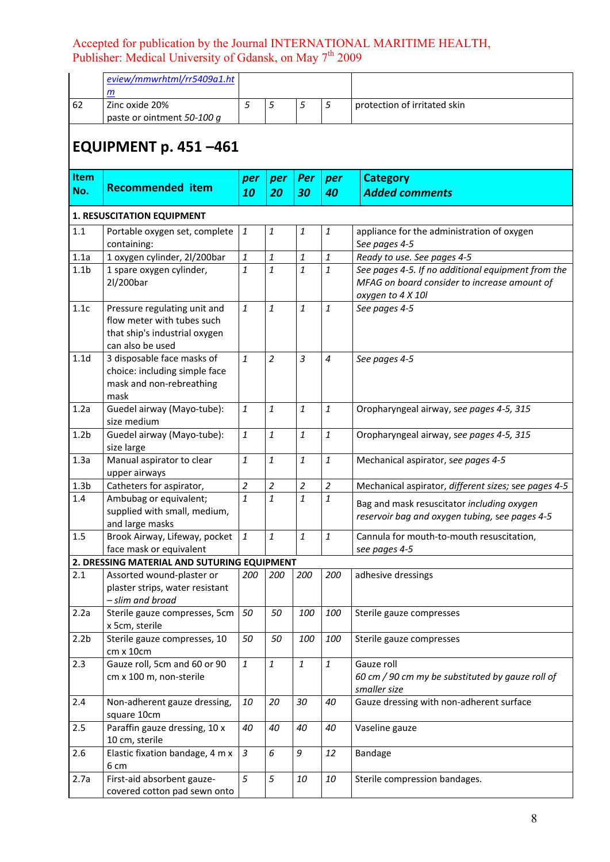|                  | eview/mmwrhtml/rr5409a1.ht<br>$\mathsf{m}$                                                                      |                |                |                                                       |                                                       |                                                                                                                         |
|------------------|-----------------------------------------------------------------------------------------------------------------|----------------|----------------|-------------------------------------------------------|-------------------------------------------------------|-------------------------------------------------------------------------------------------------------------------------|
| 62               | Zinc oxide 20%<br>paste or ointment 50-100 g                                                                    | 5              | $\sqrt{5}$     | 5                                                     | 5                                                     | protection of irritated skin                                                                                            |
|                  |                                                                                                                 |                |                |                                                       |                                                       |                                                                                                                         |
|                  | <b>EQUIPMENT p. 451-461</b>                                                                                     |                |                |                                                       |                                                       |                                                                                                                         |
| Item<br>No.      | <b>Recommended item</b>                                                                                         | per<br>10      | per<br>20      | Per<br>30                                             | per<br>40                                             | <b>Category</b><br><b>Added comments</b>                                                                                |
|                  |                                                                                                                 |                |                |                                                       |                                                       |                                                                                                                         |
|                  | <b>1. RESUSCITATION EQUIPMENT</b>                                                                               |                |                |                                                       |                                                       |                                                                                                                         |
| 1.1              | Portable oxygen set, complete<br>containing:                                                                    | 1              | 1              | 1                                                     | $\it 1$                                               | appliance for the administration of oxygen<br>See pages 4-5                                                             |
| 1.1a             | 1 oxygen cylinder, 2l/200bar                                                                                    | $\mathbf{1}$   | $\mathbf{1}$   | $\mathbf{1}% _{T}=\mathbf{1}_{T}\times\mathbf{2}_{T}$ | $\it 1$                                               | Ready to use. See pages 4-5                                                                                             |
| 1.1 <sub>b</sub> | 1 spare oxygen cylinder,<br>2l/200bar                                                                           | 1              | $\mathbf{1}$   | $\mathbf{1}$                                          | 1                                                     | See pages 4-5. If no additional equipment from the<br>MFAG on board consider to increase amount of<br>oxygen to 4 X 10l |
| 1.1c             | Pressure regulating unit and<br>flow meter with tubes such<br>that ship's industrial oxygen<br>can also be used | 1              | 1              | $\mathbf{1}$                                          | 1                                                     | See pages 4-5                                                                                                           |
| 1.1 <sub>d</sub> | 3 disposable face masks of<br>choice: including simple face<br>mask and non-rebreathing<br>mask                 | 1              | $\overline{2}$ | $\overline{3}$                                        | $\overline{4}$                                        | See pages 4-5                                                                                                           |
| 1.2a             | Guedel airway (Mayo-tube):<br>size medium                                                                       | 1              | $\mathbf{1}$   | $\mathbf{1}$                                          | $\it 1$                                               | Oropharyngeal airway, see pages 4-5, 315                                                                                |
| 1.2 <sub>b</sub> | Guedel airway (Mayo-tube):<br>size large                                                                        | $\mathbf{1}$   | $\mathbf{1}$   | $\it 1$                                               | $\mathbf{1}% _{T}=\mathbf{1}_{T}\times\mathbf{2}_{T}$ | Oropharyngeal airway, see pages 4-5, 315                                                                                |
| 1.3a             | Manual aspirator to clear<br>upper airways                                                                      | 1              | 1              | $\mathbf{1}$                                          | $\it 1$                                               | Mechanical aspirator, see pages 4-5                                                                                     |
| 1.3 <sub>b</sub> | Catheters for aspirator,                                                                                        | $\overline{c}$ | $\overline{2}$ | $\overline{2}$                                        | $\boldsymbol{2}$                                      | Mechanical aspirator, different sizes; see pages 4-5                                                                    |
| 1.4              | Ambubag or equivalent;<br>supplied with small, medium,<br>and large masks                                       | 1              | $\mathbf{1}$   | $\mathbf{1}$                                          | 1                                                     | Bag and mask resuscitator including oxygen<br>reservoir bag and oxygen tubing, see pages 4-5                            |
| $1.5\,$          | Brook Airway, Lifeway, pocket<br>face mask or equivalent                                                        | 1              | 1              | $\it 1$                                               | $\mathbf{1}$                                          | Cannula for mouth-to-mouth resuscitation,<br>see pages 4-5                                                              |
|                  | 2. DRESSING MATERIAL AND SUTURING EQUIPMENT                                                                     |                |                |                                                       |                                                       |                                                                                                                         |
| 2.1              | Assorted wound-plaster or<br>plaster strips, water resistant<br>- slim and broad                                | 200            | 200            | 200                                                   | 200                                                   | adhesive dressings                                                                                                      |
| 2.2a             | Sterile gauze compresses, 5cm<br>x 5cm, sterile                                                                 | 50             | 50             | 100                                                   | 100                                                   | Sterile gauze compresses                                                                                                |
| 2.2 <sub>b</sub> | Sterile gauze compresses, 10<br>cm x 10cm                                                                       | 50             | 50             | 100                                                   | 100                                                   | Sterile gauze compresses                                                                                                |
| 2.3              | Gauze roll, 5cm and 60 or 90<br>cm x 100 m, non-sterile                                                         | $\mathbf{1}$   | $\mathbf{1}$   | $\mathbf{1}$                                          | $\it 1$                                               | Gauze roll<br>60 cm / 90 cm my be substituted by gauze roll of<br>smaller size                                          |
| 2.4              | Non-adherent gauze dressing,<br>square 10cm                                                                     | 10             | 20             | 30                                                    | 40                                                    | Gauze dressing with non-adherent surface                                                                                |
| 2.5              | Paraffin gauze dressing, 10 x<br>10 cm, sterile                                                                 | 40             | 40             | 40                                                    | 40                                                    | Vaseline gauze                                                                                                          |
| 2.6              | Elastic fixation bandage, 4 m x<br>6 cm                                                                         | $\overline{3}$ | 6              | 9                                                     | 12                                                    | Bandage                                                                                                                 |
| 2.7a             | First-aid absorbent gauze-<br>covered cotton pad sewn onto                                                      | 5              | 5              | 10                                                    | 10                                                    | Sterile compression bandages.                                                                                           |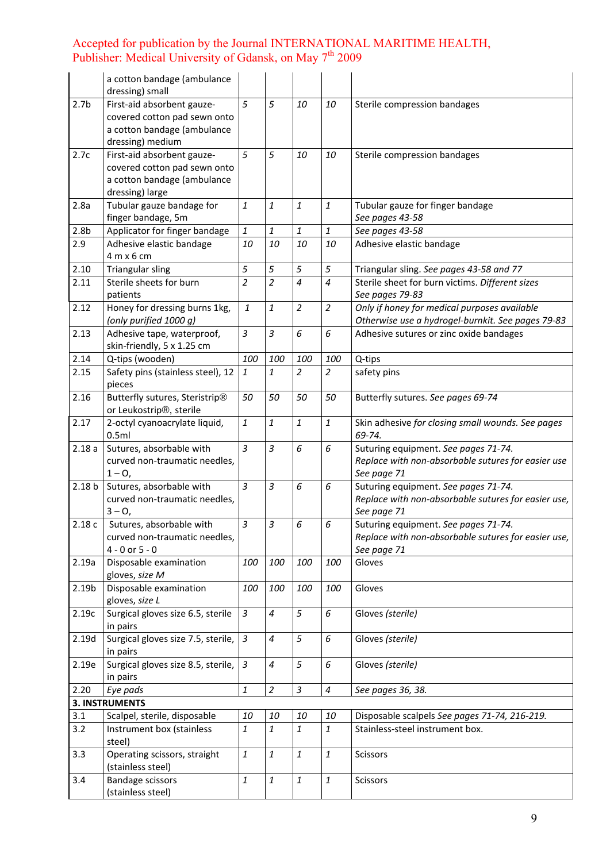|                   | a cotton bandage (ambulance<br>dressing) small                                                                |                             |                                                       |                |                          |                                                                                                            |
|-------------------|---------------------------------------------------------------------------------------------------------------|-----------------------------|-------------------------------------------------------|----------------|--------------------------|------------------------------------------------------------------------------------------------------------|
| 2.7 <sub>b</sub>  | First-aid absorbent gauze-<br>covered cotton pad sewn onto<br>a cotton bandage (ambulance<br>dressing) medium | 5                           | 5                                                     | 10             | 10                       | Sterile compression bandages                                                                               |
| 2.7c              | First-aid absorbent gauze-<br>covered cotton pad sewn onto<br>a cotton bandage (ambulance<br>dressing) large  | 5                           | 5                                                     | 10             | 10                       | Sterile compression bandages                                                                               |
| 2.8a              | Tubular gauze bandage for<br>finger bandage, 5m                                                               | $\it 1$                     | 1                                                     | $\it 1$        | $\mathbf{1}$             | Tubular gauze for finger bandage<br>See pages 43-58                                                        |
| 2.8 <sub>b</sub>  | Applicator for finger bandage                                                                                 | $\it 1$                     | 1                                                     | $\it 1$        | 1                        | See pages 43-58                                                                                            |
| 2.9               | Adhesive elastic bandage<br>4 m x 6 cm                                                                        | 10                          | 10                                                    | 10             | 10                       | Adhesive elastic bandage                                                                                   |
| 2.10              | <b>Triangular sling</b>                                                                                       | 5                           | 5                                                     | 5              | 5                        | Triangular sling. See pages 43-58 and 77                                                                   |
| 2.11              | Sterile sheets for burn<br>patients                                                                           | $\overline{c}$              | $\overline{c}$                                        | $\overline{4}$ | $\overline{4}$           | Sterile sheet for burn victims. Different sizes<br>See pages 79-83                                         |
| 2.12              | Honey for dressing burns 1kg,<br>(only purified 1000 g)                                                       | $\it 1$                     | $\mathbf{1}$                                          | $\overline{2}$ | $\overline{2}$           | Only if honey for medical purposes available<br>Otherwise use a hydrogel-burnkit. See pages 79-83          |
| 2.13              | Adhesive tape, waterproof,<br>skin-friendly, 5 x 1.25 cm                                                      | $\mathfrak{Z}$              | 3                                                     | 6              | 6                        | Adhesive sutures or zinc oxide bandages                                                                    |
| 2.14              | Q-tips (wooden)                                                                                               | 100                         | 100                                                   | 100            | 100                      | Q-tips                                                                                                     |
| 2.15              | Safety pins (stainless steel), 12<br>pieces                                                                   | $\it 1$                     | 1                                                     | $\overline{2}$ | 2                        | safety pins                                                                                                |
| 2.16              | Butterfly sutures, Steristrip®<br>or Leukostrip <sup>®</sup> , sterile                                        | 50                          | 50                                                    | 50             | 50                       | Butterfly sutures. See pages 69-74                                                                         |
| 2.17              | 2-octyl cyanoacrylate liquid,<br>0.5ml                                                                        | $\mathbf{1}$                | 1                                                     | $\it 1$        | $\boldsymbol{1}$         | Skin adhesive for closing small wounds. See pages<br>69-74.                                                |
| 2.18a             | Sutures, absorbable with<br>curved non-traumatic needles,<br>$1 - 0$ ,                                        | $\overline{3}$              | 3                                                     | 6              | 6                        | Suturing equipment. See pages 71-74.<br>Replace with non-absorbable sutures for easier use<br>See page 71  |
| 2.18 <sub>b</sub> | Sutures, absorbable with<br>curved non-traumatic needles,<br>$3 - 0,$                                         | $\overline{3}$              | 3                                                     | 6              | 6                        | Suturing equipment. See pages 71-74.<br>Replace with non-absorbable sutures for easier use,<br>See page 71 |
| 2.18c             | Sutures, absorbable with<br>curved non-traumatic needles,<br>$4 - 0$ or $5 - 0$                               | $\overline{3}$              | 3                                                     | 6              | 6                        | Suturing equipment. See pages 71-74.<br>Replace with non-absorbable sutures for easier use,<br>See page 71 |
| 2.19a             | Disposable examination<br>gloves, size M                                                                      | 100                         | 100                                                   | 100            | 100                      | Gloves                                                                                                     |
| 2.19 <sub>b</sub> | Disposable examination<br>gloves, size L                                                                      | 100                         | 100                                                   | 100            | 100                      | Gloves                                                                                                     |
| 2.19c             | Surgical gloves size 6.5, sterile<br>in pairs                                                                 | $\mathfrak z$               | 4                                                     | 5              | 6                        | Gloves (sterile)                                                                                           |
| 2.19d             | Surgical gloves size 7.5, sterile,<br>in pairs                                                                | $\overline{3}$              | 4                                                     | 5              | 6                        | Gloves (sterile)                                                                                           |
| 2.19e             | Surgical gloves size 8.5, sterile,<br>in pairs                                                                | $\ensuremath{\mathfrak{Z}}$ | 4                                                     | 5              | 6                        | Gloves (sterile)                                                                                           |
| 2.20              | Eye pads                                                                                                      | $\mathbf{1}$                | $\overline{a}$                                        | $\mathfrak{Z}$ | $\overline{\mathcal{A}}$ | See pages 36, 38.                                                                                          |
|                   | <b>3. INSTRUMENTS</b>                                                                                         |                             |                                                       |                |                          |                                                                                                            |
| 3.1               | Scalpel, sterile, disposable                                                                                  | 10                          | 10                                                    | 10             | 10                       | Disposable scalpels See pages 71-74, 216-219.                                                              |
| 3.2               | Instrument box (stainless<br>steel)                                                                           | $\it 1$                     | $\mathbf{1}% _{T}=\mathbf{1}_{T}\times\mathbf{1}_{T}$ | $\it 1$        | $\mathbf{1}$             | Stainless-steel instrument box.                                                                            |
| 3.3               | Operating scissors, straight<br>(stainless steel)                                                             | $\it 1$                     | $\mathbf{1}$                                          | $\it 1$        | $\mathbf{1}$             | Scissors                                                                                                   |
| 3.4               | <b>Bandage scissors</b><br>(stainless steel)                                                                  | $\it 1$                     | $\mathbf{1}$                                          | $\it 1$        | $\it 1$                  | Scissors                                                                                                   |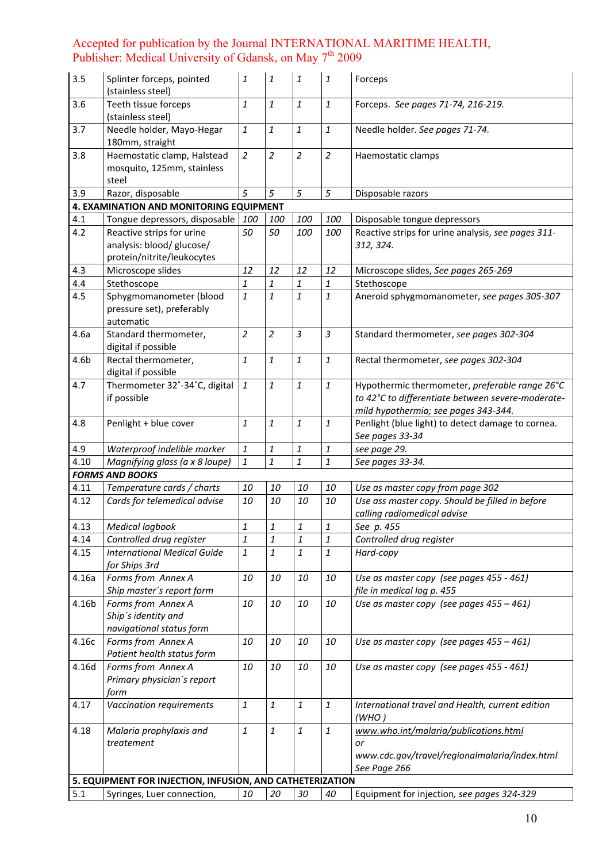| 3.5              | Splinter forceps, pointed<br>(stainless steel)                                                     | 1                  | 1              | $\mathbf{1}$   | 1              | Forceps                                                                                                                                     |
|------------------|----------------------------------------------------------------------------------------------------|--------------------|----------------|----------------|----------------|---------------------------------------------------------------------------------------------------------------------------------------------|
| 3.6              | Teeth tissue forceps<br>(stainless steel)                                                          | $\mathbf{1}$       | 1              | $\mathbf{1}$   | $\mathbf{1}$   | Forceps. See pages 71-74, 216-219.                                                                                                          |
| 3.7              | Needle holder, Mayo-Hegar<br>180mm, straight                                                       | $\mathbf{1}$       | 1              | $\mathbf{1}$   | $\mathbf{1}$   | Needle holder. See pages 71-74.                                                                                                             |
| 3.8              | Haemostatic clamp, Halstead<br>mosquito, 125mm, stainless<br>steel                                 | $\overline{a}$     | $\overline{2}$ | $\overline{c}$ | $\overline{a}$ | Haemostatic clamps                                                                                                                          |
| 3.9              | Razor, disposable                                                                                  | 5                  | 5              | 5              | 5              | Disposable razors                                                                                                                           |
|                  | 4. EXAMINATION AND MONITORING EQUIPMENT                                                            |                    |                |                |                |                                                                                                                                             |
| 4.1              | Tongue depressors, disposable                                                                      | 100                | 100            | 100            | 100            | Disposable tongue depressors                                                                                                                |
| 4.2              | Reactive strips for urine<br>analysis: blood/ glucose/<br>protein/nitrite/leukocytes               | 50                 | 50             | 100            | 100            | Reactive strips for urine analysis, see pages 311-<br>312, 324.                                                                             |
| 4.3              | Microscope slides                                                                                  | 12                 | 12             | 12             | 12             | Microscope slides, See pages 265-269                                                                                                        |
| 4.4              | Stethoscope                                                                                        | $\mathbf{1}$       | 1              | $\mathbf{1}$   | $\it 1$        | Stethoscope                                                                                                                                 |
| 4.5              | Sphygmomanometer (blood<br>pressure set), preferably<br>automatic                                  | $\mathbf{1}$       | $\mathbf{1}$   | $\mathbf{1}$   | $\it 1$        | Aneroid sphygmomanometer, see pages 305-307                                                                                                 |
| 4.6a             | Standard thermometer,<br>digital if possible                                                       | $\overline{2}$     | $\overline{c}$ | $\overline{3}$ | $\mathfrak{Z}$ | Standard thermometer, see pages 302-304                                                                                                     |
| 4.6 <sub>b</sub> | Rectal thermometer,<br>digital if possible                                                         | $\mathbf{1}$       | $\mathbf{1}$   | $\mathbf{1}$   | $\it 1$        | Rectal thermometer, see pages 302-304                                                                                                       |
| 4.7              | Thermometer 32°-34°C, digital<br>if possible                                                       | $\mathbf{1}$       | $\it 1$        | $\mathbf{1}$   | $\it 1$        | Hypothermic thermometer, preferable range 26°C<br>to 42°C to differentiate between severe-moderate-<br>mild hypothermia; see pages 343-344. |
| 4.8              | Penlight + blue cover                                                                              | $\mathbf{1}$       | 1              | $\mathbf{1}$   | $\it 1$        | Penlight (blue light) to detect damage to cornea.<br>See pages 33-34                                                                        |
| 4.9              | Waterproof indelible marker                                                                        | $\mathbf{1}% _{T}$ | 1              | 1              | 1              | see page 29.                                                                                                                                |
| 4.10             | Magnifying glass (a x 8 loupe)                                                                     | $\mathbf{1}$       | $\mathbf{1}$   | $\mathbf{1}$   | $\it 1$        | See pages 33-34.                                                                                                                            |
|                  | <b>FORMS AND BOOKS</b>                                                                             |                    |                |                |                |                                                                                                                                             |
| 4.11             | Temperature cards / charts                                                                         | $10\,$             | 10             | 10             | 10             | Use as master copy from page 302                                                                                                            |
| 4.12             | Cards for telemedical advise                                                                       | 10                 | 10             | 10             | 10             | Use ass master copy. Should be filled in before<br>calling radiomedical advise                                                              |
| 4.13             | <b>Medical loabook</b>                                                                             | $\mathbf{1}$       | $\it 1$        | $\it 1$        | $\it 1$        | See p. 455                                                                                                                                  |
| 4.14             | Controlled drug register                                                                           | $\mathbf{1}$       | $\it 1$        | $\it 1$        | $\it 1$        | Controlled drug register                                                                                                                    |
| 4.15             | <b>International Medical Guide</b><br>for Ships 3rd                                                | $\mathbf{1}$       | 1              | $\mathbf{1}$   | $\mathbf{1}$   | Hard-copy                                                                                                                                   |
| 4.16a            | Forms from Annex A<br>Ship master's report form                                                    | 10                 | 10             | 10             | 10             | Use as master copy (see pages 455 - 461)<br>file in medical log p. 455                                                                      |
| 4.16b            | Forms from Annex A<br>Ship's identity and<br>navigational status form                              | 10                 | 10             | 10             | 10             | Use as master copy (see pages 455 - 461)                                                                                                    |
| 4.16c            | Forms from Annex A<br>Patient health status form                                                   | 10                 | 10             | 10             | 10             | Use as master copy (see pages $455 - 461$ )                                                                                                 |
| 4.16d            | Forms from Annex A<br>Primary physician's report<br>form                                           | 10                 | 10             | 10             | 10             | Use as master copy (see pages 455 - 461)                                                                                                    |
| 4.17             | Vaccination requirements                                                                           | $\mathbf{1}$       | 1              | $\it 1$        | $\it 1$        | International travel and Health, current edition<br>(WHO)                                                                                   |
| 4.18             | Malaria prophylaxis and<br>treatement<br>5. EQUIPMENT FOR INJECTION, INFUSION, AND CATHETERIZATION | $\mathbf{1}$       | $\it 1$        | $\it 1$        | $\it 1$        | www.who.int/malaria/publications.html<br>or<br>www.cdc.gov/travel/regionalmalaria/index.html<br>See Page 266                                |
|                  |                                                                                                    |                    |                | 30             |                |                                                                                                                                             |
| 5.1              | Syringes, Luer connection,                                                                         | 10                 | 20             |                | 40             | Equipment for injection, see pages 324-329                                                                                                  |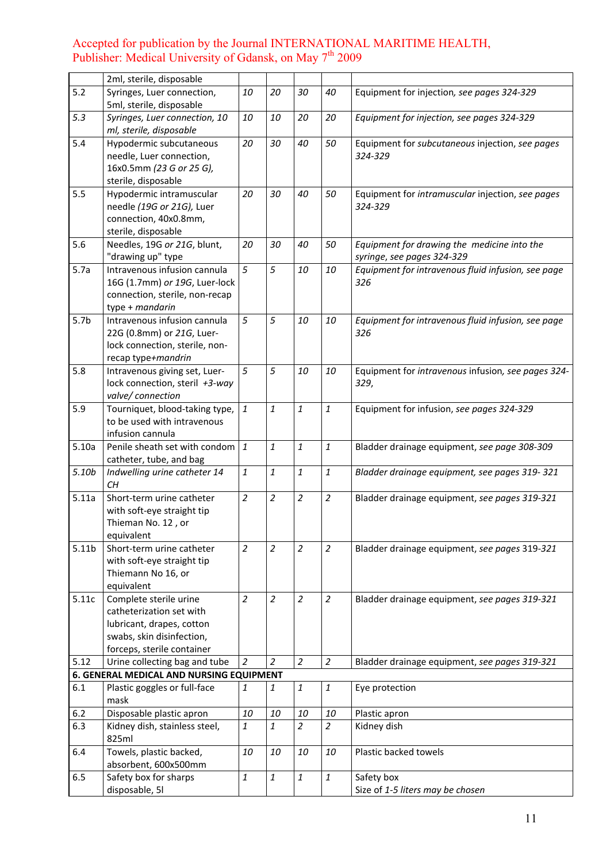|                   | 2ml, sterile, disposable                                                                                                                   |                    |                |                |                |                                                                           |
|-------------------|--------------------------------------------------------------------------------------------------------------------------------------------|--------------------|----------------|----------------|----------------|---------------------------------------------------------------------------|
| 5.2               | Syringes, Luer connection,<br>5ml, sterile, disposable                                                                                     | 10                 | 20             | 30             | 40             | Equipment for injection, see pages 324-329                                |
| 5.3               | Syringes, Luer connection, 10<br>ml, sterile, disposable                                                                                   | 10                 | 10             | 20             | 20             | Equipment for injection, see pages 324-329                                |
| 5.4               | Hypodermic subcutaneous<br>needle, Luer connection,<br>16x0.5mm (23 G or 25 G),<br>sterile, disposable                                     | 20                 | 30             | 40             | 50             | Equipment for subcutaneous injection, see pages<br>324-329                |
| 5.5               | Hypodermic intramuscular<br>needle (19G or 21G), Luer<br>connection, 40x0.8mm,<br>sterile, disposable                                      | 20                 | 30             | 40             | 50             | Equipment for intramuscular injection, see pages<br>324-329               |
| 5.6               | Needles, 19G or 21G, blunt,<br>"drawing up" type                                                                                           | 20                 | 30             | 40             | 50             | Equipment for drawing the medicine into the<br>syringe, see pages 324-329 |
| 5.7a              | Intravenous infusion cannula<br>16G (1.7mm) or 19G, Luer-lock<br>connection, sterile, non-recap<br>type + mandarin                         | $\overline{5}$     | 5              | 10             | 10             | Equipment for intravenous fluid infusion, see page<br>326                 |
| 5.7 <sub>b</sub>  | Intravenous infusion cannula<br>22G (0.8mm) or 21G, Luer-<br>lock connection, sterile, non-<br>recap type+mandrin                          | 5                  | 5              | 10             | 10             | Equipment for intravenous fluid infusion, see page<br>326                 |
| 5.8               | Intravenous giving set, Luer-<br>lock connection, steril +3-way<br>valve/connection                                                        | 5                  | 5              | 10             | 10             | Equipment for intravenous infusion, see pages 324-<br>329,                |
| 5.9               | Tourniquet, blood-taking type,<br>to be used with intravenous<br>infusion cannula                                                          | $\mathbf{1}$       | $\it 1$        | 1              | 1              | Equipment for infusion, see pages 324-329                                 |
| 5.10a             | Penile sheath set with condom<br>catheter, tube, and bag                                                                                   | $\mathbf{1}$       | $\mathbf{1}$   | $\mathbf{1}$   | 1              | Bladder drainage equipment, see page 308-309                              |
| 5.10 <sub>b</sub> | Indwelling urine catheter 14<br>CH                                                                                                         | $\mathbf{1}% _{T}$ | $\mathbf{1}$   | $\mathbf{1}$   | 1              | Bladder drainage equipment, see pages 319-321                             |
| 5.11a             | Short-term urine catheter<br>with soft-eye straight tip<br>Thieman No. 12, or<br>equivalent                                                | $\overline{c}$     | $\overline{a}$ | $\overline{a}$ | $\overline{2}$ | Bladder drainage equipment, see pages 319-321                             |
| 5.11 <sub>b</sub> | Short-term urine catheter<br>with soft-eye straight tip<br>Thiemann No 16, or<br>equivalent                                                | $\overline{a}$     | $\overline{a}$ | $\overline{2}$ | 2              | Bladder drainage equipment, see pages 319-321                             |
| 5.11c             | Complete sterile urine<br>catheterization set with<br>lubricant, drapes, cotton<br>swabs, skin disinfection,<br>forceps, sterile container | $\overline{2}$     | $\overline{a}$ | $\overline{a}$ | $\overline{2}$ | Bladder drainage equipment, see pages 319-321                             |
| 5.12              | Urine collecting bag and tube                                                                                                              | $\overline{2}$     | $\overline{2}$ | $\overline{c}$ | $\overline{2}$ | Bladder drainage equipment, see pages 319-321                             |
|                   | 6. GENERAL MEDICAL AND NURSING EQUIPMENT                                                                                                   |                    |                |                |                |                                                                           |
| 6.1               | Plastic goggles or full-face<br>mask                                                                                                       | 1                  | $\mathbf{1}$   | $\mathbf{1}$   | 1              | Eye protection                                                            |
| 6.2               | Disposable plastic apron                                                                                                                   | 10                 | 10             | 10             | 10             | Plastic apron                                                             |
| 6.3               | Kidney dish, stainless steel,<br>825ml                                                                                                     | 1                  | $\it 1$        | 2              | $\overline{2}$ | Kidney dish                                                               |
| 6.4               | Towels, plastic backed,<br>absorbent, 600x500mm                                                                                            | 10                 | 10             | 10             | 10             | Plastic backed towels                                                     |
| 6.5               | Safety box for sharps<br>disposable, 5l                                                                                                    | $\mathbf{1}$       | $\mathbf{1}$   | $\mathbf{1}$   | 1              | Safety box<br>Size of 1-5 liters may be chosen                            |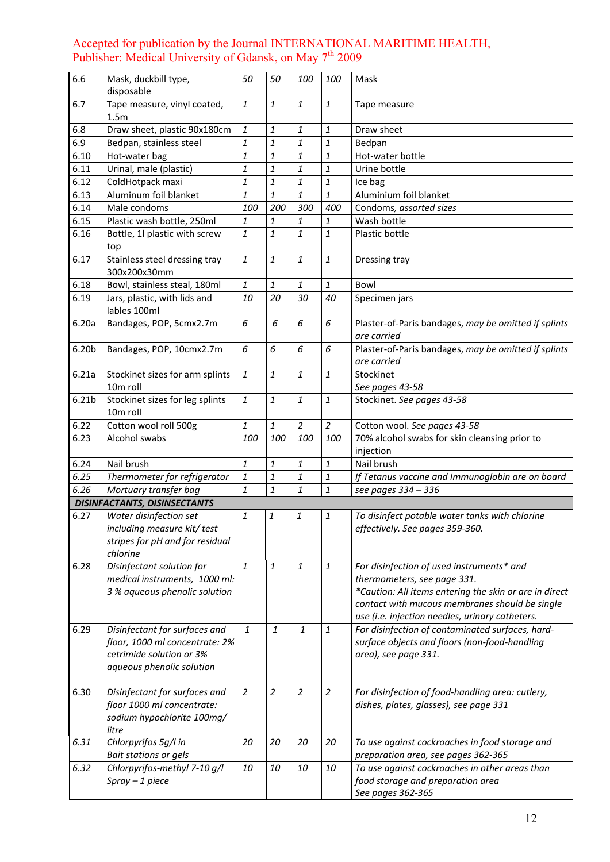| 6.6               | Mask, duckbill type,<br>disposable                                                                                         | 50                   | 50                   | 100                  | 100                  | Mask                                                                                                                                                                                                                                    |
|-------------------|----------------------------------------------------------------------------------------------------------------------------|----------------------|----------------------|----------------------|----------------------|-----------------------------------------------------------------------------------------------------------------------------------------------------------------------------------------------------------------------------------------|
| 6.7               | Tape measure, vinyl coated,<br>1.5m                                                                                        | $\it 1$              | 1                    | 1                    | $\it 1$              | Tape measure                                                                                                                                                                                                                            |
| 6.8               | Draw sheet, plastic 90x180cm                                                                                               | 1                    | 1                    | 1                    | 1                    | Draw sheet                                                                                                                                                                                                                              |
| 6.9               | Bedpan, stainless steel                                                                                                    | $\it 1$              | 1                    | $\it 1$              | $\it 1$              | Bedpan                                                                                                                                                                                                                                  |
| 6.10              | Hot-water bag                                                                                                              | 1                    | 1                    | 1                    | 1                    | Hot-water bottle                                                                                                                                                                                                                        |
| 6.11              | Urinal, male (plastic)                                                                                                     | $\mathbf{1}$         | 1                    | 1                    | $\mathbf{1}$         | Urine bottle                                                                                                                                                                                                                            |
| 6.12              | ColdHotpack maxi                                                                                                           | $\it 1$              | 1                    | 1                    | 1                    | Ice bag                                                                                                                                                                                                                                 |
| 6.13              | Aluminum foil blanket                                                                                                      | $\it 1$              | 1                    | 1                    | $\mathbf{1}$         | Aluminium foil blanket                                                                                                                                                                                                                  |
| 6.14              | Male condoms                                                                                                               | 100                  | 200                  | 300                  | 400                  | Condoms, assorted sizes                                                                                                                                                                                                                 |
| 6.15              | Plastic wash bottle, 250ml                                                                                                 | 1                    | 1                    | 1                    | 1                    | Wash bottle                                                                                                                                                                                                                             |
| 6.16              | Bottle, 1l plastic with screw<br>top                                                                                       | $\it 1$              | 1                    | 1                    | $\mathbf{1}$         | Plastic bottle                                                                                                                                                                                                                          |
| 6.17              | Stainless steel dressing tray<br>300x200x30mm                                                                              | $\it 1$              | 1                    | 1                    | $\it 1$              | Dressing tray                                                                                                                                                                                                                           |
| 6.18              | Bowl, stainless steal, 180ml                                                                                               | $\it 1$              | 1                    | 1                    | 1                    | Bowl                                                                                                                                                                                                                                    |
| 6.19              | Jars, plastic, with lids and<br>lables 100ml                                                                               | 10                   | 20                   | 30                   | 40                   | Specimen jars                                                                                                                                                                                                                           |
| 6.20a             | Bandages, POP, 5cmx2.7m                                                                                                    | 6                    | 6                    | 6                    | 6                    | Plaster-of-Paris bandages, may be omitted if splints<br>are carried                                                                                                                                                                     |
| 6.20 <sub>b</sub> | Bandages, POP, 10cmx2.7m                                                                                                   | 6                    | 6                    | 6                    | 6                    | Plaster-of-Paris bandages, may be omitted if splints<br>are carried                                                                                                                                                                     |
| 6.21a             | Stockinet sizes for arm splints                                                                                            | $\it 1$              | $\mathbf{1}$         | 1                    | $\it 1$              | Stockinet                                                                                                                                                                                                                               |
|                   | 10m roll                                                                                                                   |                      |                      |                      |                      | See pages 43-58                                                                                                                                                                                                                         |
| 6.21b             | Stockinet sizes for leg splints<br>10m roll                                                                                | $\it 1$              | 1                    | 1                    | $\mathbf{1}$         | Stockinet. See pages 43-58                                                                                                                                                                                                              |
| 6.22              | Cotton wool roll 500g                                                                                                      | $\it 1$              | 1                    | $\overline{c}$       | $\overline{2}$       | Cotton wool. See pages 43-58                                                                                                                                                                                                            |
| 6.23              | Alcohol swabs                                                                                                              | 100                  | 100                  | 100                  | 100                  | 70% alcohol swabs for skin cleansing prior to<br>injection                                                                                                                                                                              |
| 6.24              | Nail brush                                                                                                                 | $\it 1$              | 1                    | 1                    | $\it 1$              | Nail brush                                                                                                                                                                                                                              |
| 6.25              | Thermometer for refrigerator                                                                                               | $\it 1$              | 1                    | 1                    | $\it 1$              | If Tetanus vaccine and Immunoglobin are on board                                                                                                                                                                                        |
| 6.26              | Mortuary transfer bag                                                                                                      | $\mathbf{1}$         | 1                    | 1                    | $\it 1$              | see pages 334 - 336                                                                                                                                                                                                                     |
|                   | <b>DISINFACTANTS, DISINSECTANTS</b>                                                                                        |                      |                      |                      |                      |                                                                                                                                                                                                                                         |
| 6.27              | Water disinfection set<br>including measure kit/ test<br>stripes for pH and for residual<br>chlorine                       | $\it 1$              | 1                    | $\it 1$              | $\it 1$              | To disinfect potable water tanks with chlorine<br>effectively. See pages 359-360.                                                                                                                                                       |
| 6.28              | Disinfectant solution for<br>medical instruments, 1000 ml:<br>3 % aqueous phenolic solution                                | $\mathbf{1}$         | $\it 1$              | 1                    | $\mathbf{1}$         | For disinfection of used instruments* and<br>thermometers, see page 331.<br>*Caution: All items entering the skin or are in direct<br>contact with mucous membranes should be single<br>use (i.e. injection needles, urinary catheters. |
| 6.29              | Disinfectant for surfaces and<br>floor, 1000 ml concentrate: 2%<br>cetrimide solution or 3%<br>aqueous phenolic solution   | $\mathbf{1}$         | $\mathbf{1}$         | $\mathbf{1}$         | 1                    | For disinfection of contaminated surfaces, hard-<br>surface objects and floors (non-food-handling<br>area), see page 331.                                                                                                               |
| 6.30<br>6.31      | Disinfectant for surfaces and<br>floor 1000 ml concentrate:<br>sodium hypochlorite 100mg/<br>litre<br>Chlorpyrifos 5g/l in | $\overline{2}$<br>20 | $\overline{a}$<br>20 | $\overline{2}$<br>20 | $\overline{2}$<br>20 | For disinfection of food-handling area: cutlery,<br>dishes, plates, glasses), see page 331<br>To use against cockroaches in food storage and                                                                                            |
|                   | <b>Bait stations or gels</b>                                                                                               |                      |                      |                      |                      | preparation area, see pages 362-365                                                                                                                                                                                                     |
| 6.32              | Chlorpyrifos-methyl 7-10 g/l<br>$Spray - 1$ piece                                                                          | 10                   | 10                   | 10                   | 10                   | To use against cockroaches in other areas than<br>food storage and preparation area<br>See pages 362-365                                                                                                                                |